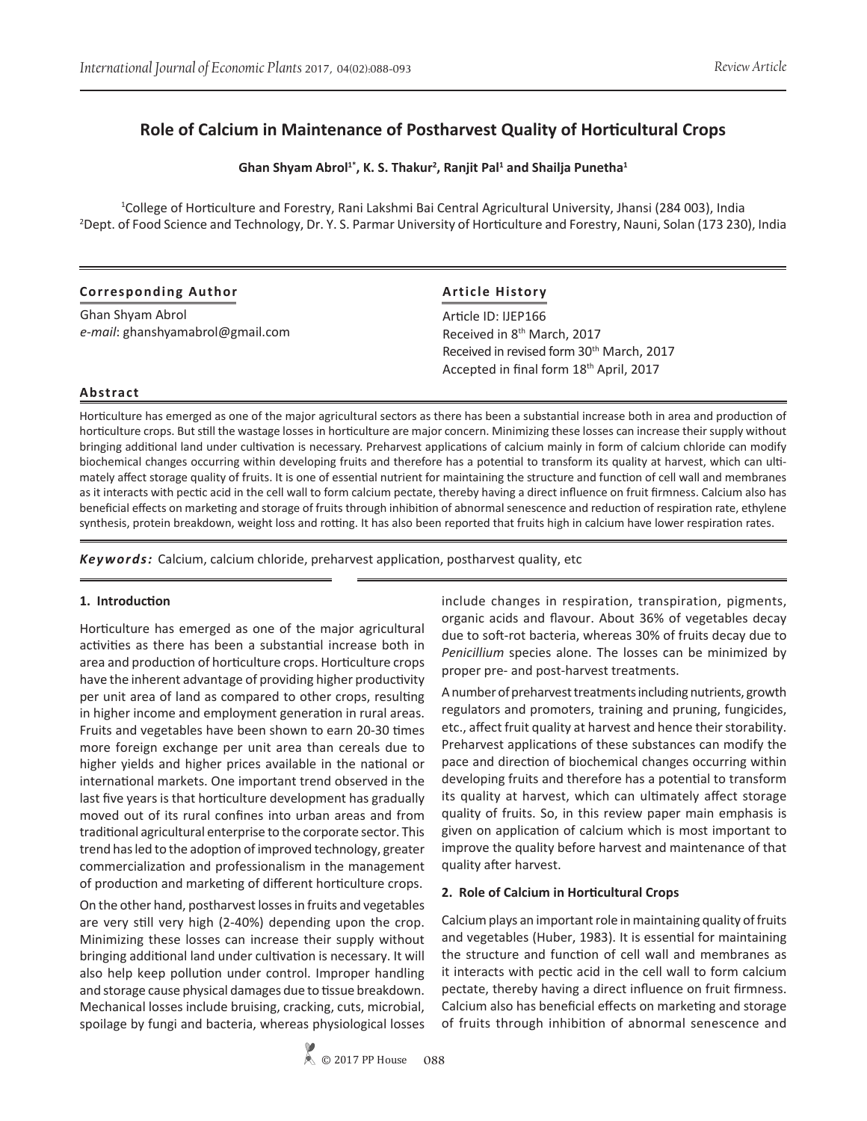# **Role of Calcium in Maintenance of Postharvest Quality of Horticultural Crops**

Ghan Shyam Abrol<sup>1\*</sup>, K. S. Thakur<sup>2</sup>, Ranjit Pal<sup>1</sup> and Shailja Punetha<sup>1</sup>

1 College of Horticulture and Forestry, Rani Lakshmi Bai Central Agricultural University, Jhansi (284 003), India 2 Dept. of Food Science and Technology, Dr. Y. S. Parmar University of Horticulture and Forestry, Nauni, Solan (173 230), India

| <b>Corresponding Author</b> |  |
|-----------------------------|--|
|-----------------------------|--|

Ghan Shyam Abrol *e-mail*: ghanshyamabrol@gmail.com **Article History**

Article ID: IJEP166 Received in 8<sup>th</sup> March, 2017 Received in revised form 30<sup>th</sup> March, 2017 Accepted in final form 18th April, 2017

## **Abstract**

Horticulture has emerged as one of the major agricultural sectors as there has been a substantial increase both in area and production of horticulture crops. But still the wastage losses in horticulture are major concern. Minimizing these losses can increase their supply without bringing additional land under cultivation is necessary. Preharvest applications of calcium mainly in form of calcium chloride can modify biochemical changes occurring within developing fruits and therefore has a potential to transform its quality at harvest, which can ultimately affect storage quality of fruits. It is one of essential nutrient for maintaining the structure and function of cell wall and membranes as it interacts with pectic acid in the cell wall to form calcium pectate, thereby having a direct influence on fruit firmness. Calcium also has beneficial effects on marketing and storage of fruits through inhibition of abnormal senescence and reduction of respiration rate, ethylene synthesis, protein breakdown, weight loss and rotting. It has also been reported that fruits high in calcium have lower respiration rates.

*Keywords:* Calcium, calcium chloride, preharvest application, postharvest quality, etc

#### **1. Introduction**

Horticulture has emerged as one of the major agricultural activities as there has been a substantial increase both in area and production of horticulture crops. Horticulture crops have the inherent advantage of providing higher productivity per unit area of land as compared to other crops, resulting in higher income and employment generation in rural areas. Fruits and vegetables have been shown to earn 20-30 times more foreign exchange per unit area than cereals due to higher yields and higher prices available in the national or international markets. One important trend observed in the last five years is that horticulture development has gradually moved out of its rural confines into urban areas and from traditional agricultural enterprise to the corporate sector. This trend has led to the adoption of improved technology, greater commercialization and professionalism in the management of production and marketing of different horticulture crops.

On the other hand, postharvest losses in fruits and vegetables are very still very high (2-40%) depending upon the crop. Minimizing these losses can increase their supply without bringing additional land under cultivation is necessary. It will also help keep pollution under control. Improper handling and storage cause physical damages due to tissue breakdown. Mechanical losses include bruising, cracking, cuts, microbial, spoilage by fungi and bacteria, whereas physiological losses include changes in respiration, transpiration, pigments, organic acids and flavour. About 36% of vegetables decay due to soft-rot bacteria, whereas 30% of fruits decay due to *Penicillium* species alone. The losses can be minimized by proper pre- and post-harvest treatments.

A number of preharvest treatments including nutrients, growth regulators and promoters, training and pruning, fungicides, etc., affect fruit quality at harvest and hence their storability. Preharvest applications of these substances can modify the pace and direction of biochemical changes occurring within developing fruits and therefore has a potential to transform its quality at harvest, which can ultimately affect storage quality of fruits. So, in this review paper main emphasis is given on application of calcium which is most important to improve the quality before harvest and maintenance of that quality after harvest.

#### **2. Role of Calcium in Horticultural Crops**

Calcium plays an important role in maintaining quality of fruits and vegetables (Huber, 1983). It is essential for maintaining the structure and function of cell wall and membranes as it interacts with pectic acid in the cell wall to form calcium pectate, thereby having a direct influence on fruit firmness. Calcium also has beneficial effects on marketing and storage of fruits through inhibition of abnormal senescence and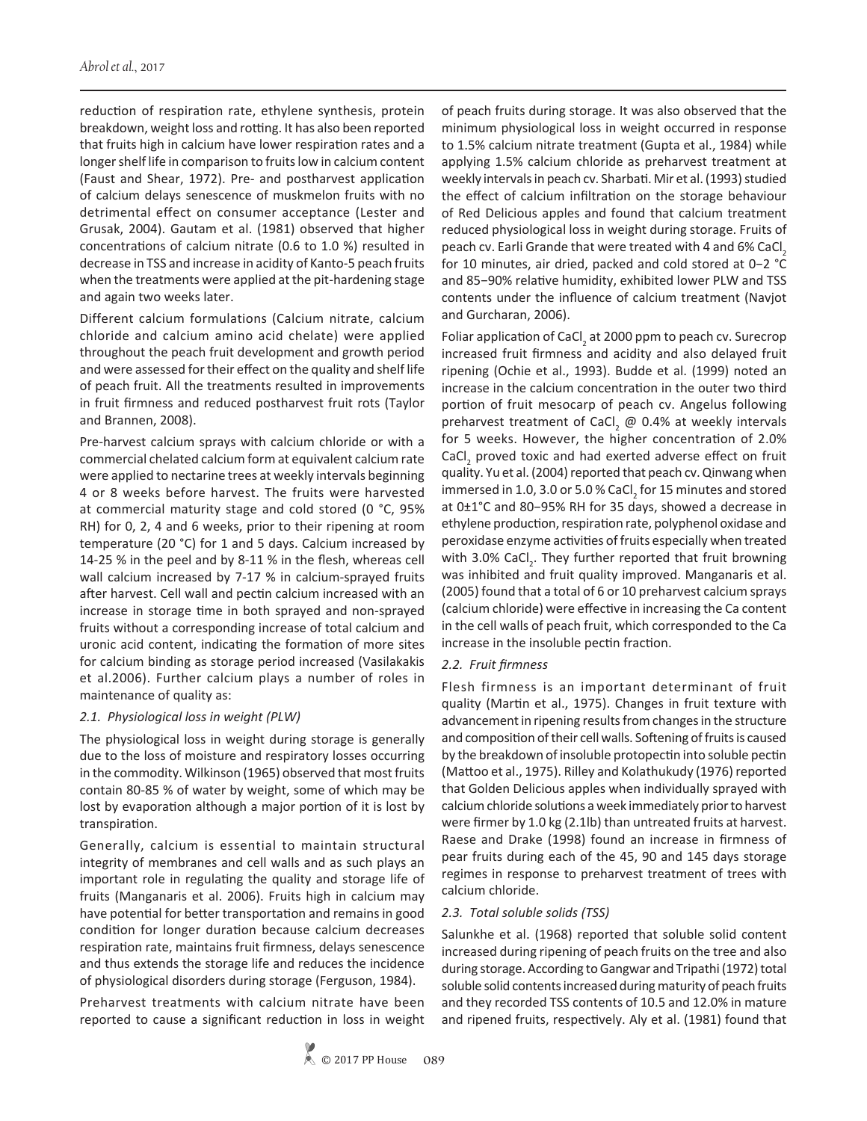reduction of respiration rate, ethylene synthesis, protein breakdown, weight loss and rotting. It has also been reported that fruits high in calcium have lower respiration rates and a longer shelf life in comparison to fruits low in calcium content (Faust and Shear, 1972). Pre- and postharvest application of calcium delays senescence of muskmelon fruits with no detrimental effect on consumer acceptance (Lester and Grusak, 2004). Gautam et al. (1981) observed that higher concentrations of calcium nitrate (0.6 to 1.0 %) resulted in decrease in TSS and increase in acidity of Kanto-5 peach fruits when the treatments were applied at the pit-hardening stage and again two weeks later.

Different calcium formulations (Calcium nitrate, calcium chloride and calcium amino acid chelate) were applied throughout the peach fruit development and growth period and were assessed for their effect on the quality and shelf life of peach fruit. All the treatments resulted in improvements in fruit firmness and reduced postharvest fruit rots (Taylor and Brannen, 2008).

Pre-harvest calcium sprays with calcium chloride or with a commercial chelated calcium form at equivalent calcium rate were applied to nectarine trees at weekly intervals beginning 4 or 8 weeks before harvest. The fruits were harvested at commercial maturity stage and cold stored (0 °C, 95% RH) for 0, 2, 4 and 6 weeks, prior to their ripening at room temperature (20 °C) for 1 and 5 days. Calcium increased by 14-25 % in the peel and by 8-11 % in the flesh, whereas cell wall calcium increased by 7-17 % in calcium-sprayed fruits after harvest. Cell wall and pectin calcium increased with an increase in storage time in both sprayed and non-sprayed fruits without a corresponding increase of total calcium and uronic acid content, indicating the formation of more sites for calcium binding as storage period increased (Vasilakakis et al.2006). Further calcium plays a number of roles in maintenance of quality as:

#### *2.1. Physiological loss in weight (PLW)*

The physiological loss in weight during storage is generally due to the loss of moisture and respiratory losses occurring in the commodity. Wilkinson (1965) observed that most fruits contain 80-85 % of water by weight, some of which may be lost by evaporation although a major portion of it is lost by transpiration.

Generally, calcium is essential to maintain structural integrity of membranes and cell walls and as such plays an important role in regulating the quality and storage life of fruits (Manganaris et al. 2006). Fruits high in calcium may have potential for better transportation and remains in good condition for longer duration because calcium decreases respiration rate, maintains fruit firmness, delays senescence and thus extends the storage life and reduces the incidence of physiological disorders during storage (Ferguson, 1984).

Preharvest treatments with calcium nitrate have been reported to cause a significant reduction in loss in weight of peach fruits during storage. It was also observed that the minimum physiological loss in weight occurred in response to 1.5% calcium nitrate treatment (Gupta et al., 1984) while applying 1.5% calcium chloride as preharvest treatment at weekly intervals in peach cv. Sharbati. Mir et al. (1993) studied the effect of calcium infiltration on the storage behaviour of Red Delicious apples and found that calcium treatment reduced physiological loss in weight during storage. Fruits of peach cv. Earli Grande that were treated with 4 and 6% CaCl. for 10 minutes, air dried, packed and cold stored at 0−2 °C and 85−90% relative humidity, exhibited lower PLW and TSS contents under the influence of calcium treatment (Navjot and Gurcharan, 2006).

Foliar application of CaCl<sub>2</sub> at 2000 ppm to peach cv. Surecrop increased fruit firmness and acidity and also delayed fruit ripening (Ochie et al., 1993). Budde et al. (1999) noted an increase in the calcium concentration in the outer two third portion of fruit mesocarp of peach cv. Angelus following preharvest treatment of CaCl<sub>2</sub> @ 0.4% at weekly intervals for 5 weeks. However, the higher concentration of 2.0%  $\textsf{CaCl}_2$  proved toxic and had exerted adverse effect on fruit quality. Yu et al. (2004) reported that peach cv. Qinwang when immersed in 1.0, 3.0 or 5.0 % CaCl<sub>2</sub> for 15 minutes and stored at 0±1°C and 80−95% RH for 35 days, showed a decrease in ethylene production, respiration rate, polyphenol oxidase and peroxidase enzyme activities of fruits especially when treated with 3.0% CaCl<sub>2</sub>. They further reported that fruit browning was inhibited and fruit quality improved. Manganaris et al. (2005) found that a total of 6 or 10 preharvest calcium sprays (calcium chloride) were effective in increasing the Ca content in the cell walls of peach fruit, which corresponded to the Ca increase in the insoluble pectin fraction.

#### *2.2. Fruit firmness*

Flesh firmness is an important determinant of fruit quality (Martin et al., 1975). Changes in fruit texture with advancement in ripening results from changes in the structure and composition of their cell walls. Softening of fruits is caused by the breakdown of insoluble protopectin into soluble pectin (Mattoo et al., 1975). Rilley and Kolathukudy (1976) reported that Golden Delicious apples when individually sprayed with calcium chloride solutions a week immediately prior to harvest were firmer by 1.0 kg (2.1lb) than untreated fruits at harvest. Raese and Drake (1998) found an increase in firmness of pear fruits during each of the 45, 90 and 145 days storage regimes in response to preharvest treatment of trees with calcium chloride.

#### *2.3. Total soluble solids (TSS)*

Salunkhe et al. (1968) reported that soluble solid content increased during ripening of peach fruits on the tree and also during storage. According to Gangwar and Tripathi (1972) total soluble solid contents increased during maturity of peach fruits and they recorded TSS contents of 10.5 and 12.0% in mature and ripened fruits, respectively. Aly et al. (1981) found that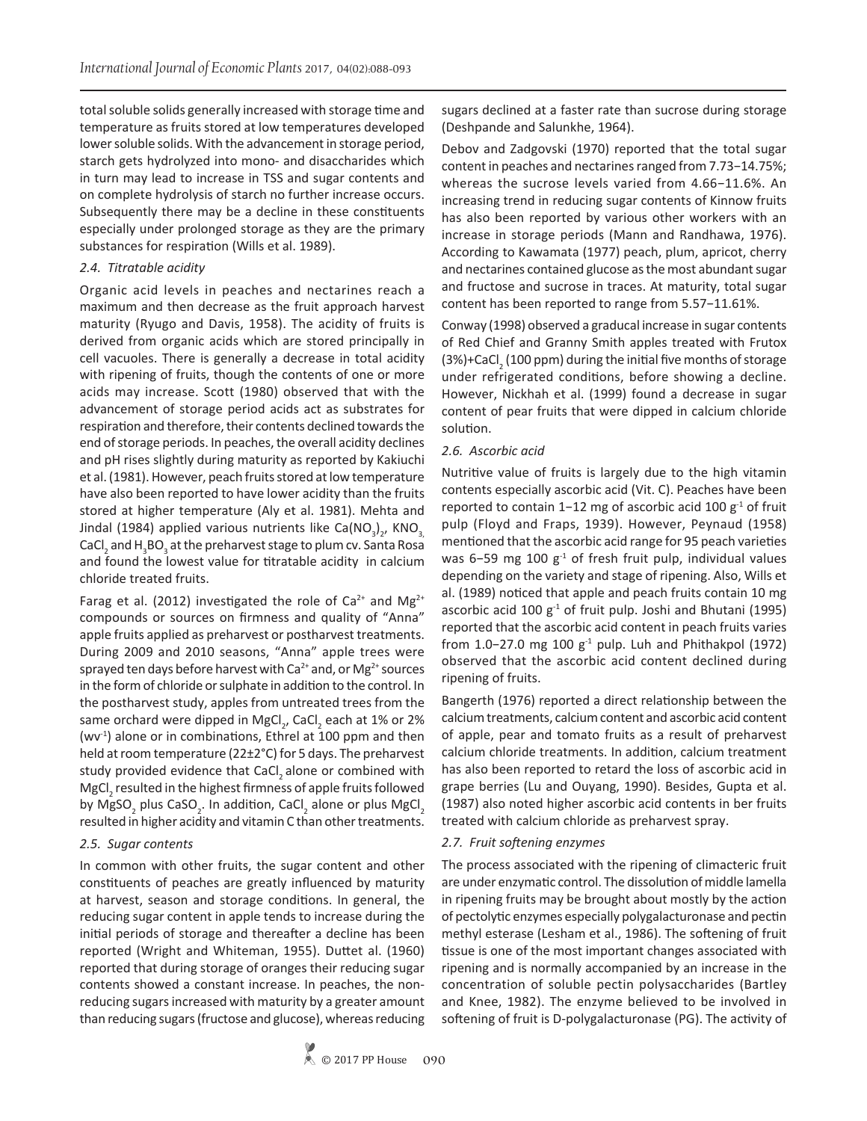total soluble solids generally increased with storage time and temperature as fruits stored at low temperatures developed lower soluble solids. With the advancement in storage period, starch gets hydrolyzed into mono- and disaccharides which in turn may lead to increase in TSS and sugar contents and on complete hydrolysis of starch no further increase occurs. Subsequently there may be a decline in these constituents especially under prolonged storage as they are the primary substances for respiration (Wills et al. 1989).

#### *2.4. Titratable acidity*

Organic acid levels in peaches and nectarines reach a maximum and then decrease as the fruit approach harvest maturity (Ryugo and Davis, 1958). The acidity of fruits is derived from organic acids which are stored principally in cell vacuoles. There is generally a decrease in total acidity with ripening of fruits, though the contents of one or more acids may increase. Scott (1980) observed that with the advancement of storage period acids act as substrates for respiration and therefore, their contents declined towards the end of storage periods. In peaches, the overall acidity declines and pH rises slightly during maturity as reported by Kakiuchi et al. (1981). However, peach fruits stored at low temperature have also been reported to have lower acidity than the fruits stored at higher temperature (Aly et al. 1981). Mehta and Jindal (1984) applied various nutrients like Ca(NO<sub>3</sub>)<sub>2</sub>, KNO<sub>3,</sub> CaCl<sub>2</sub> and H<sub>3</sub>BO<sub>3</sub> at the preharvest stage to plum cv. Santa Rosa and found the lowest value for titratable acidity in calcium chloride treated fruits.

Farag et al. (2012) investigated the role of  $Ca^{2+}$  and Mg<sup>2+</sup> compounds or sources on firmness and quality of "Anna" apple fruits applied as preharvest or postharvest treatments. During 2009 and 2010 seasons, "Anna" apple trees were sprayed ten days before harvest with  $Ca^{2+}$  and, or Mg<sup>2+</sup> sources in the form of chloride or sulphate in addition to the control. In the postharvest study, apples from untreated trees from the same orchard were dipped in MgCl<sub>2</sub>, CaCl<sub>2</sub> each at 1% or 2%  $(wv<sup>-1</sup>)$  alone or in combinations, Ethrel at 100 ppm and then held at room temperature (22±2°C) for 5 days. The preharvest study provided evidence that CaCl<sub>2</sub> alone or combined with MgCl<sub>2</sub> resulted in the highest firmness of apple fruits followed by MgSO<sub>2</sub> plus CaSO<sub>2</sub>. In addition, CaCl<sub>2</sub> alone or plus MgCl<sub>2</sub> resulted in higher acidity and vitamin C than other treatments.

#### *2.5. Sugar contents*

In common with other fruits, the sugar content and other constituents of peaches are greatly influenced by maturity at harvest, season and storage conditions. In general, the reducing sugar content in apple tends to increase during the initial periods of storage and thereafter a decline has been reported (Wright and Whiteman, 1955). Duttet al. (1960) reported that during storage of oranges their reducing sugar contents showed a constant increase. In peaches, the nonreducing sugars increased with maturity by a greater amount than reducing sugars (fructose and glucose), whereas reducing sugars declined at a faster rate than sucrose during storage (Deshpande and Salunkhe, 1964).

Debov and Zadgovski (1970) reported that the total sugar content in peaches and nectarines ranged from 7.73−14.75%; whereas the sucrose levels varied from 4.66−11.6%. An increasing trend in reducing sugar contents of Kinnow fruits has also been reported by various other workers with an increase in storage periods (Mann and Randhawa, 1976). According to Kawamata (1977) peach, plum, apricot, cherry and nectarines contained glucose as the most abundant sugar and fructose and sucrose in traces. At maturity, total sugar content has been reported to range from 5.57−11.61%.

Conway (1998) observed a graducal increase in sugar contents of Red Chief and Granny Smith apples treated with Frutox (3%)+CaCl<sub>2</sub> (100 ppm) during the initial five months of storage under refrigerated conditions, before showing a decline. However, Nickhah et al. (1999) found a decrease in sugar content of pear fruits that were dipped in calcium chloride solution.

## *2.6. Ascorbic acid*

Nutritive value of fruits is largely due to the high vitamin contents especially ascorbic acid (Vit. C). Peaches have been reported to contain 1−12 mg of ascorbic acid 100  $g<sup>-1</sup>$  of fruit pulp (Floyd and Fraps, 1939). However, Peynaud (1958) mentioned that the ascorbic acid range for 95 peach varieties was 6-59 mg 100 g<sup>-1</sup> of fresh fruit pulp, individual values depending on the variety and stage of ripening. Also, Wills et al. (1989) noticed that apple and peach fruits contain 10 mg ascorbic acid 100  $g^{-1}$  of fruit pulp. Joshi and Bhutani (1995) reported that the ascorbic acid content in peach fruits varies from 1.0−27.0 mg 100  $g<sup>-1</sup>$  pulp. Luh and Phithakpol (1972) observed that the ascorbic acid content declined during ripening of fruits.

Bangerth (1976) reported a direct relationship between the calcium treatments, calcium content and ascorbic acid content of apple, pear and tomato fruits as a result of preharvest calcium chloride treatments. In addition, calcium treatment has also been reported to retard the loss of ascorbic acid in grape berries (Lu and Ouyang, 1990). Besides, Gupta et al. (1987) also noted higher ascorbic acid contents in ber fruits treated with calcium chloride as preharvest spray.

## *2.7. Fruit softening enzymes*

The process associated with the ripening of climacteric fruit are under enzymatic control. The dissolution of middle lamella in ripening fruits may be brought about mostly by the action of pectolytic enzymes especially polygalacturonase and pectin methyl esterase (Lesham et al., 1986). The softening of fruit tissue is one of the most important changes associated with ripening and is normally accompanied by an increase in the concentration of soluble pectin polysaccharides (Bartley and Knee, 1982). The enzyme believed to be involved in softening of fruit is D-polygalacturonase (PG). The activity of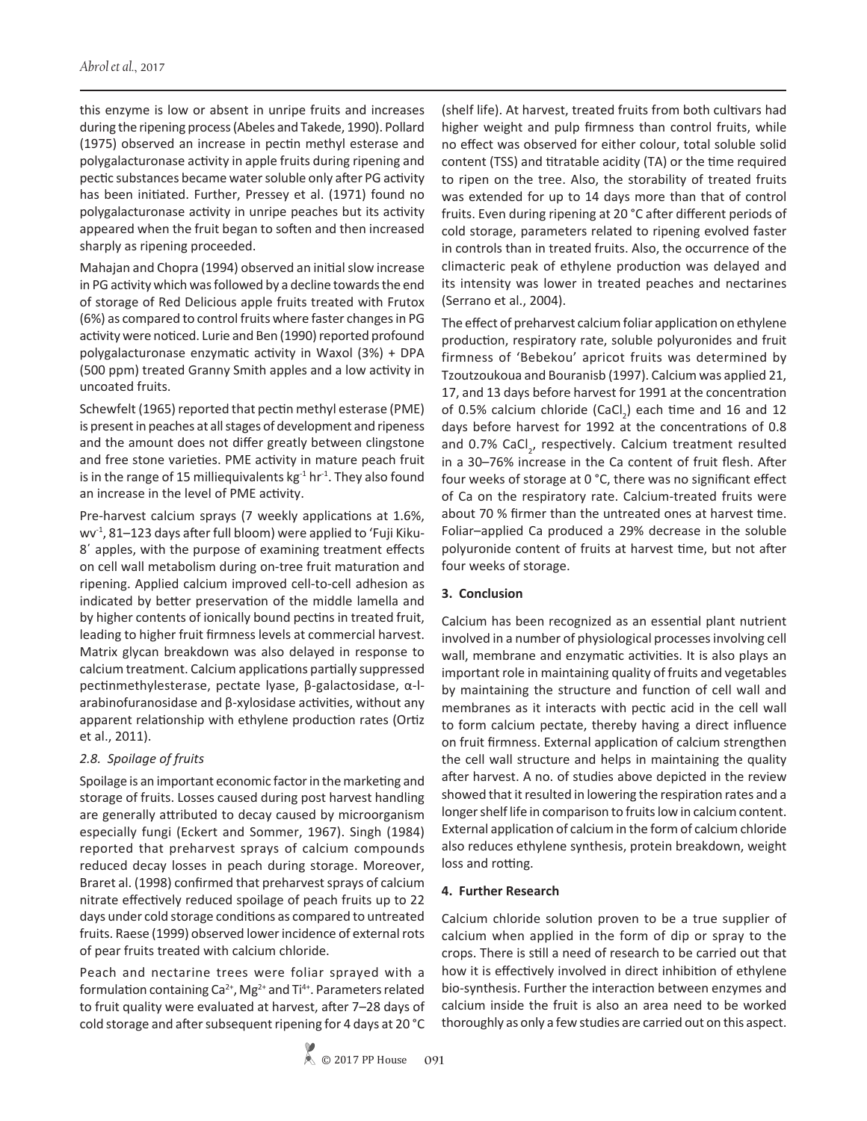this enzyme is low or absent in unripe fruits and increases during the ripening process (Abeles and Takede, 1990). Pollard (1975) observed an increase in pectin methyl esterase and polygalacturonase activity in apple fruits during ripening and pectic substances became water soluble only after PG activity has been initiated. Further, Pressey et al. (1971) found no polygalacturonase activity in unripe peaches but its activity appeared when the fruit began to soften and then increased sharply as ripening proceeded.

Mahajan and Chopra (1994) observed an initial slow increase in PG activity which was followed by a decline towards the end of storage of Red Delicious apple fruits treated with Frutox (6%) as compared to control fruits where faster changes in PG activity were noticed. Lurie and Ben (1990) reported profound polygalacturonase enzymatic activity in Waxol (3%) + DPA (500 ppm) treated Granny Smith apples and a low activity in uncoated fruits.

Schewfelt (1965) reported that pectin methyl esterase (PME) is present in peaches at all stages of development and ripeness and the amount does not differ greatly between clingstone and free stone varieties. PME activity in mature peach fruit is in the range of 15 milliequivalents  $kg<sup>-1</sup>$  hr<sup>-1</sup>. They also found an increase in the level of PME activity.

Pre-harvest calcium sprays (7 weekly applications at 1.6%,  $wv<sup>-1</sup>$ , 81–123 days after full bloom) were applied to 'Fuji Kiku-8΄ apples, with the purpose of examining treatment effects on cell wall metabolism during on-tree fruit maturation and ripening. Applied calcium improved cell-to-cell adhesion as indicated by better preservation of the middle lamella and by higher contents of ionically bound pectins in treated fruit, leading to higher fruit firmness levels at commercial harvest. Matrix glycan breakdown was also delayed in response to calcium treatment. Calcium applications partially suppressed pectinmethylesterase, pectate lyase, β-galactosidase, α-larabinofuranosidase and β-xylosidase activities, without any apparent relationship with ethylene production rates (Ortiz et al., 2011).

#### *2.8. Spoilage of fruits*

Spoilage is an important economic factor in the marketing and storage of fruits. Losses caused during post harvest handling are generally attributed to decay caused by microorganism especially fungi (Eckert and Sommer, 1967). Singh (1984) reported that preharvest sprays of calcium compounds reduced decay losses in peach during storage. Moreover, Braret al. (1998) confirmed that preharvest sprays of calcium nitrate effectively reduced spoilage of peach fruits up to 22 days under cold storage conditions as compared to untreated fruits. Raese (1999) observed lower incidence of external rots of pear fruits treated with calcium chloride.

Peach and nectarine trees were foliar sprayed with a formulation containing  $Ca^{2+}$ , Mg<sup>2+</sup> and Ti<sup>4+</sup>. Parameters related to fruit quality were evaluated at harvest, after 7–28 days of cold storage and after subsequent ripening for 4 days at 20 °C

(shelf life). At harvest, treated fruits from both cultivars had higher weight and pulp firmness than control fruits, while no effect was observed for either colour, total soluble solid content (TSS) and titratable acidity (TA) or the time required to ripen on the tree. Also, the storability of treated fruits was extended for up to 14 days more than that of control fruits. Even during ripening at 20 °C after different periods of cold storage, parameters related to ripening evolved faster in controls than in treated fruits. Also, the occurrence of the climacteric peak of ethylene production was delayed and its intensity was lower in treated peaches and nectarines (Serrano et al., 2004).

The effect of preharvest calcium foliar application on ethylene production, respiratory rate, soluble polyuronides and fruit firmness of 'Bebekou' apricot fruits was determined by Tzoutzoukoua and Bouranisb (1997). Calcium was applied 21, 17, and 13 days before harvest for 1991 at the concentration of 0.5% calcium chloride  $(CaCl<sub>2</sub>)$  each time and 16 and 12 days before harvest for 1992 at the concentrations of 0.8 and 0.7% CaCl<sub>2</sub>, respectively. Calcium treatment resulted in a 30–76% increase in the Ca content of fruit flesh. After four weeks of storage at 0 °C, there was no significant effect of Ca on the respiratory rate. Calcium-treated fruits were about 70 % firmer than the untreated ones at harvest time. Foliar–applied Ca produced a 29% decrease in the soluble polyuronide content of fruits at harvest time, but not after four weeks of storage.

#### **3. Conclusion**

Calcium has been recognized as an essential plant nutrient involved in a number of physiological processes involving cell wall, membrane and enzymatic activities. It is also plays an important role in maintaining quality of fruits and vegetables by maintaining the structure and function of cell wall and membranes as it interacts with pectic acid in the cell wall to form calcium pectate, thereby having a direct influence on fruit firmness. External application of calcium strengthen the cell wall structure and helps in maintaining the quality after harvest. A no. of studies above depicted in the review showed that it resulted in lowering the respiration rates and a longer shelf life in comparison to fruits low in calcium content. External application of calcium in the form of calcium chloride also reduces ethylene synthesis, protein breakdown, weight loss and rotting.

#### **4. Further Research**

Calcium chloride solution proven to be a true supplier of calcium when applied in the form of dip or spray to the crops. There is still a need of research to be carried out that how it is effectively involved in direct inhibition of ethylene bio-synthesis. Further the interaction between enzymes and calcium inside the fruit is also an area need to be worked thoroughly as only a few studies are carried out on this aspect.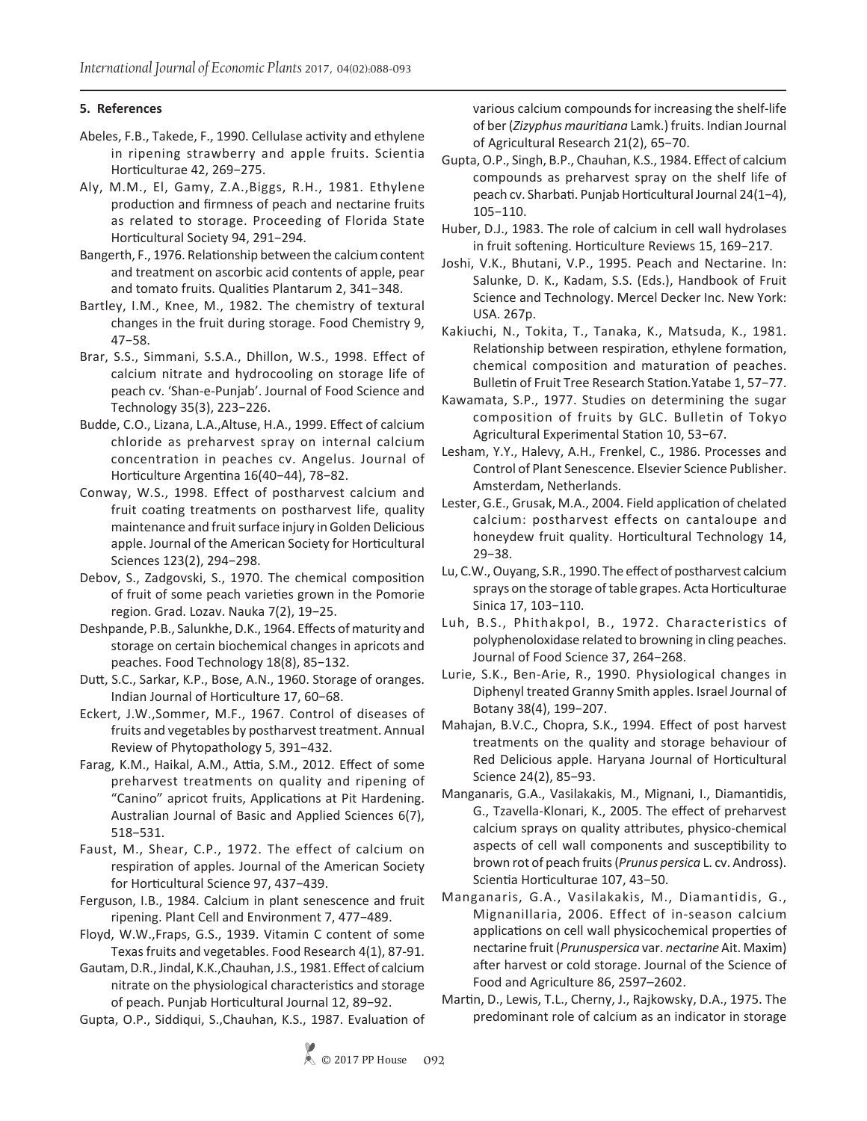#### **5. References**

- Abeles, F.B., Takede, F., 1990. Cellulase activity and ethylene in ripening strawberry and apple fruits. Scientia Horticulturae 42, 269−275.
- Aly, M.M., El, Gamy, Z.A.,Biggs, R.H., 1981. Ethylene production and firmness of peach and nectarine fruits as related to storage. Proceeding of Florida State Horticultural Society 94, 291−294.
- Bangerth, F., 1976. Relationship between the calcium content and treatment on ascorbic acid contents of apple, pear and tomato fruits. Qualities Plantarum 2, 341−348.
- Bartley, I.M., Knee, M., 1982. The chemistry of textural changes in the fruit during storage. Food Chemistry 9, 47−58.
- Brar, S.S., Simmani, S.S.A., Dhillon, W.S., 1998. Effect of calcium nitrate and hydrocooling on storage life of peach cv. 'Shan-e-Punjab'. Journal of Food Science and Technology 35(3), 223−226.
- Budde, C.O., Lizana, L.A.,Altuse, H.A., 1999. Effect of calcium chloride as preharvest spray on internal calcium concentration in peaches cv. Angelus. Journal of Horticulture Argentina 16(40−44), 78−82.
- Conway, W.S., 1998. Effect of postharvest calcium and fruit coating treatments on postharvest life, quality maintenance and fruit surface injury in Golden Delicious apple. Journal of the American Society for Horticultural Sciences 123(2), 294−298.
- Debov, S., Zadgovski, S., 1970. The chemical composition of fruit of some peach varieties grown in the Pomorie region. Grad. Lozav. Nauka 7(2), 19−25.
- Deshpande, P.B., Salunkhe, D.K., 1964. Effects of maturity and storage on certain biochemical changes in apricots and peaches. Food Technology 18(8), 85−132.
- Dutt, S.C., Sarkar, K.P., Bose, A.N., 1960. Storage of oranges. Indian Journal of Horticulture 17, 60−68.
- Eckert, J.W.,Sommer, M.F., 1967. Control of diseases of fruits and vegetables by postharvest treatment. Annual Review of Phytopathology 5, 391−432.
- Farag, K.M., Haikal, A.M., Attia, S.M., 2012. Effect of some preharvest treatments on quality and ripening of "Canino" apricot fruits, Applications at Pit Hardening. Australian Journal of Basic and Applied Sciences 6(7), 518−531.
- Faust, M., Shear, C.P., 1972. The effect of calcium on respiration of apples. Journal of the American Society for Horticultural Science 97, 437−439.
- Ferguson, I.B., 1984. Calcium in plant senescence and fruit ripening. Plant Cell and Environment 7, 477−489.
- Floyd, W.W.,Fraps, G.S., 1939. Vitamin C content of some Texas fruits and vegetables. Food Research 4(1), 87-91.
- Gautam, D.R., Jindal, K.K.,Chauhan, J.S., 1981. Effect of calcium nitrate on the physiological characteristics and storage of peach. Punjab Horticultural Journal 12, 89−92.
- Gupta, O.P., Siddiqui, S.,Chauhan, K.S., 1987. Evaluation of

various calcium compounds for increasing the shelf-life of ber (*Zizyphus mauritiana* Lamk.) fruits. Indian Journal of Agricultural Research 21(2), 65−70.

- Gupta, O.P., Singh, B.P., Chauhan, K.S., 1984. Effect of calcium compounds as preharvest spray on the shelf life of peach cv. Sharbati. Punjab Horticultural Journal 24(1−4), 105−110.
- Huber, D.J., 1983. The role of calcium in cell wall hydrolases in fruit softening. Horticulture Reviews 15, 169−217*.*
- Joshi, V.K., Bhutani, V.P., 1995. Peach and Nectarine. In: Salunke, D. K., Kadam, S.S. (Eds.), Handbook of Fruit Science and Technology. Mercel Decker Inc. New York: USA. 267p.
- Kakiuchi, N., Tokita, T., Tanaka, K., Matsuda, K., 1981. Relationship between respiration, ethylene formation, chemical composition and maturation of peaches. Bulletin of Fruit Tree Research Station*.*Yatabe 1, 57−77.
- Kawamata, S.P., 1977. Studies on determining the sugar composition of fruits by GLC. Bulletin of Tokyo Agricultural Experimental Station 10, 53−67.
- Lesham, Y.Y., Halevy, A.H., Frenkel, C., 1986. Processes and Control of Plant Senescence. Elsevier Science Publisher. Amsterdam, Netherlands.
- Lester, G.E., Grusak, M.A., 2004. Field application of chelated calcium: postharvest effects on cantaloupe and honeydew fruit quality. Horticultural Technology 14, 29−38.
- Lu, C.W., Ouyang, S.R., 1990. The effect of postharvest calcium sprays on the storage of table grapes. Acta Horticulturae Sinica 17, 103−110.
- Luh, B.S., Phithakpol, B., 1972. Characteristics of polyphenoloxidase related to browning in cling peaches. Journal of Food Science 37, 264−268.
- Lurie, S.K., Ben-Arie, R., 1990. Physiological changes in Diphenyl treated Granny Smith apples. Israel Journal of Botany 38(4), 199−207.
- Mahajan, B.V.C., Chopra, S.K., 1994. Effect of post harvest treatments on the quality and storage behaviour of Red Delicious apple. Haryana Journal of Horticultural Science 24(2), 85−93.
- Manganaris, G.A., Vasilakakis, M., Mignani, I., Diamantidis, G., Tzavella-Klonari, K., 2005. The effect of preharvest calcium sprays on quality attributes, physico-chemical aspects of cell wall components and susceptibility to brown rot of peach fruits (*Prunus persica* L. cv. Andross). Scientia Horticulturae 107, 43−50.
- Manganaris, G.A., Vasilakakis, M., Diamantidis, G., MignaniIlaria, 2006. Effect of in-season calcium applications on cell wall physicochemical properties of nectarine fruit (*Prunuspersica* var. *nectarine* Ait. Maxim) after harvest or cold storage. Journal of the Science of Food and Agriculture 86, 2597–2602.
- Martin, D., Lewis, T.L., Cherny, J., Rajkowsky, D.A., 1975. The predominant role of calcium as an indicator in storage